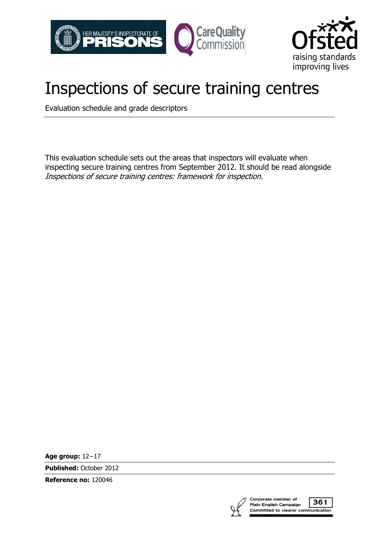



# Inspections of secure training centres

Evaluation schedule and grade descriptors

This evaluation schedule sets out the areas that inspectors will evaluate when inspecting secure training centres from September 2012. It should be read alongside Inspections of secure training centres: framework for inspection.

**Age group:** 12−17

**Published:** October 2012

**Reference no:** 120046



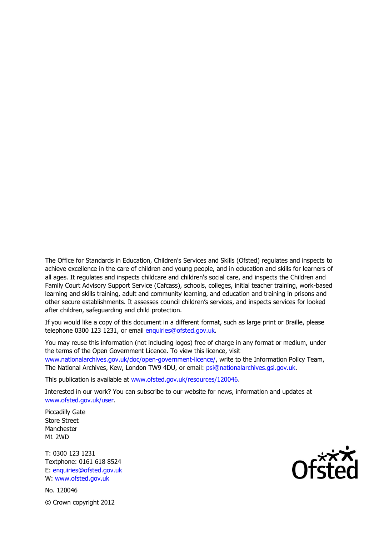The Office for Standards in Education, Children's Services and Skills (Ofsted) regulates and inspects to achieve excellence in the care of children and young people, and in education and skills for learners of all ages. It regulates and inspects childcare and children's social care, and inspects the Children and Family Court Advisory Support Service (Cafcass), schools, colleges, initial teacher training, work-based learning and skills training, adult and community learning, and education and training in prisons and other secure establishments. It assesses council children's services, and inspects services for looked after children, safeguarding and child protection.

If you would like a copy of this document in a different format, such as large print or Braille, please telephone 0300 123 1231, or email enquiries@ofsted.gov.uk.

You may reuse this information (not including logos) free of charge in any format or medium, under the terms of the Open Government Licence. To view this licence, visit www.nationalarchives.gov.uk/doc/open-government-licence/, write to the Information Policy Team, The National Archives, Kew, London TW9 4DU, or email: psi@nationalarchives.gsi.gov.uk.

This publication is available at www.ofsted.gov.uk/resources/120046.

Interested in our work? You can subscribe to our website for news, information and updates at www.ofsted.gov.uk/user.

Piccadilly Gate Store Street Manchester M1 2WD

T: 0300 123 1231 Textphone: 0161 618 8524 E: enquiries@ofsted.gov.uk W: www.ofsted.gov.uk

No. 120046 © Crown copyright 2012

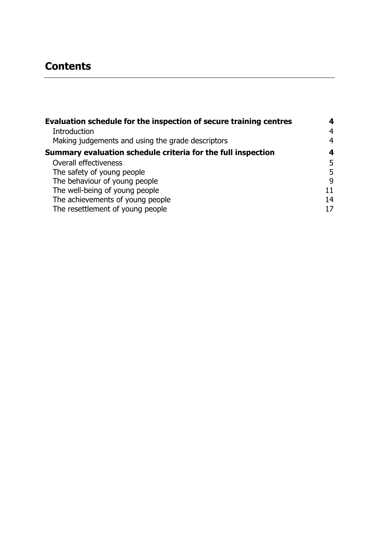## **Contents**

| Evaluation schedule for the inspection of secure training centres | 4              |
|-------------------------------------------------------------------|----------------|
| <b>Introduction</b>                                               | $\overline{4}$ |
| Making judgements and using the grade descriptors                 | 4              |
| Summary evaluation schedule criteria for the full inspection      | 4              |
| Overall effectiveness                                             | 5              |
| The safety of young people                                        | 5              |
| The behaviour of young people                                     | 9              |
| The well-being of young people                                    | 11             |
| The achievements of young people                                  | 14             |
| The resettlement of young people                                  | 17             |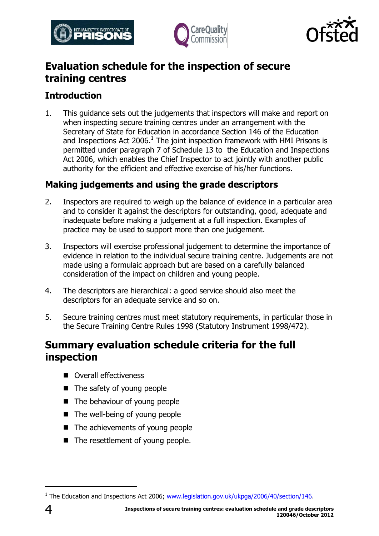





## <span id="page-3-0"></span>**Evaluation schedule for the inspection of secure training centres**

#### <span id="page-3-1"></span>**Introduction**

1. This guidance sets out the judgements that inspectors will make and report on when inspecting secure training centres under an arrangement with the Secretary of State for Education in accordance Section 146 of the Education and Inspections Act 2006.<sup>1</sup> The joint inspection framework with HMI Prisons is permitted under paragraph 7 of Schedule 13 to the Education and Inspections Act 2006, which enables the Chief Inspector to act jointly with another public authority for the efficient and effective exercise of his/her functions.

#### <span id="page-3-2"></span>**Making judgements and using the grade descriptors**

- 2. Inspectors are required to weigh up the balance of evidence in a particular area and to consider it against the descriptors for outstanding, good, adequate and inadequate before making a judgement at a full inspection. Examples of practice may be used to support more than one judgement.
- 3. Inspectors will exercise professional judgement to determine the importance of evidence in relation to the individual secure training centre. Judgements are not made using a formulaic approach but are based on a carefully balanced consideration of the impact on children and young people.
- 4. The descriptors are hierarchical: a good service should also meet the descriptors for an adequate service and so on.
- 5. Secure training centres must meet statutory requirements, in particular those in the Secure Training Centre Rules 1998 (Statutory Instrument 1998/472).

### <span id="page-3-3"></span>**Summary evaluation schedule criteria for the full inspection**

- **Overall effectiveness**
- $\blacksquare$  The safety of young people
- The behaviour of young people
- The well-being of young people
- The achievements of young people
- The resettlement of young people.

 $\overline{a}$ 

<sup>&</sup>lt;sup>1</sup> The Education and Inspections Act 2006; [www.legislation.gov.uk/ukpga/2006/40/section/146.](http://www.legislation.gov.uk/ukpga/2006/40/section/146)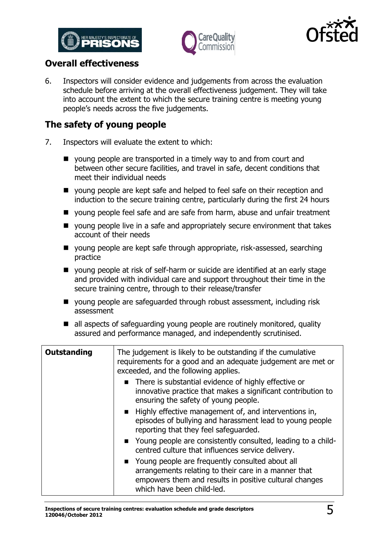





#### <span id="page-4-0"></span>**Overall effectiveness**

6. Inspectors will consider evidence and judgements from across the evaluation schedule before arriving at the overall effectiveness judgement. They will take into account the extent to which the secure training centre is meeting young people's needs across the five judgements.

#### <span id="page-4-1"></span>**The safety of young people**

- 7. Inspectors will evaluate the extent to which:
	- young people are transported in a timely way to and from court and between other secure facilities, and travel in safe, decent conditions that meet their individual needs
	- young people are kept safe and helped to feel safe on their reception and induction to the secure training centre, particularly during the first 24 hours
	- voung people feel safe and are safe from harm, abuse and unfair treatment
	- young people live in a safe and appropriately secure environment that takes account of their needs
	- young people are kept safe through appropriate, risk-assessed, searching practice
	- young people at risk of self-harm or suicide are identified at an early stage and provided with individual care and support throughout their time in the secure training centre, through to their release/transfer
	- young people are safeguarded through robust assessment, including risk assessment
	- $\blacksquare$  all aspects of safeguarding young people are routinely monitored, quality assured and performance managed, and independently scrutinised.

| <b>Outstanding</b> | The judgement is likely to be outstanding if the cumulative<br>requirements for a good and an adequate judgement are met or<br>exceeded, and the following applies.                               |
|--------------------|---------------------------------------------------------------------------------------------------------------------------------------------------------------------------------------------------|
|                    | • There is substantial evidence of highly effective or<br>innovative practice that makes a significant contribution to<br>ensuring the safety of young people.                                    |
|                    | ■ Highly effective management of, and interventions in,<br>episodes of bullying and harassment lead to young people<br>reporting that they feel safeguarded.                                      |
|                    | • Young people are consistently consulted, leading to a child-<br>centred culture that influences service delivery.                                                                               |
|                    | ■ Young people are frequently consulted about all<br>arrangements relating to their care in a manner that<br>empowers them and results in positive cultural changes<br>which have been child-led. |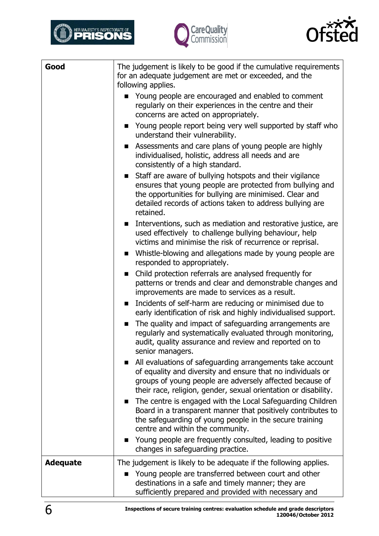





| Good            | The judgement is likely to be good if the cumulative requirements<br>for an adequate judgement are met or exceeded, and the<br>following applies.                                                                                                          |
|-----------------|------------------------------------------------------------------------------------------------------------------------------------------------------------------------------------------------------------------------------------------------------------|
|                 | Young people are encouraged and enabled to comment<br>regularly on their experiences in the centre and their<br>concerns are acted on appropriately.                                                                                                       |
|                 | Young people report being very well supported by staff who<br>understand their vulnerability.                                                                                                                                                              |
|                 | Assessments and care plans of young people are highly<br>individualised, holistic, address all needs and are<br>consistently of a high standard.                                                                                                           |
|                 | Staff are aware of bullying hotspots and their vigilance<br>ensures that young people are protected from bullying and<br>the opportunities for bullying are minimised. Clear and<br>detailed records of actions taken to address bullying are<br>retained. |
|                 | Interventions, such as mediation and restorative justice, are<br>$\mathbf{r}$<br>used effectively to challenge bullying behaviour, help<br>victims and minimise the risk of recurrence or reprisal.                                                        |
|                 | Whistle-blowing and allegations made by young people are<br>responded to appropriately.                                                                                                                                                                    |
|                 | Child protection referrals are analysed frequently for<br>$\blacksquare$<br>patterns or trends and clear and demonstrable changes and<br>improvements are made to services as a result.                                                                    |
|                 | Incidents of self-harm are reducing or minimised due to<br>$\blacksquare$<br>early identification of risk and highly individualised support.                                                                                                               |
|                 | The quality and impact of safeguarding arrangements are<br>$\blacksquare$<br>regularly and systematically evaluated through monitoring,<br>audit, quality assurance and review and reported on to<br>senior managers.                                      |
|                 | All evaluations of safeguarding arrangements take account<br>of equality and diversity and ensure that no individuals or<br>groups of young people are adversely affected because of<br>their race, religion, gender, sexual orientation or disability.    |
|                 | The centre is engaged with the Local Safeguarding Children<br>Board in a transparent manner that positively contributes to<br>the safeguarding of young people in the secure training<br>centre and within the community.                                  |
|                 | Young people are frequently consulted, leading to positive<br>changes in safeguarding practice.                                                                                                                                                            |
| <b>Adequate</b> | The judgement is likely to be adequate if the following applies.                                                                                                                                                                                           |
|                 | Young people are transferred between court and other<br>destinations in a safe and timely manner; they are<br>sufficiently prepared and provided with necessary and                                                                                        |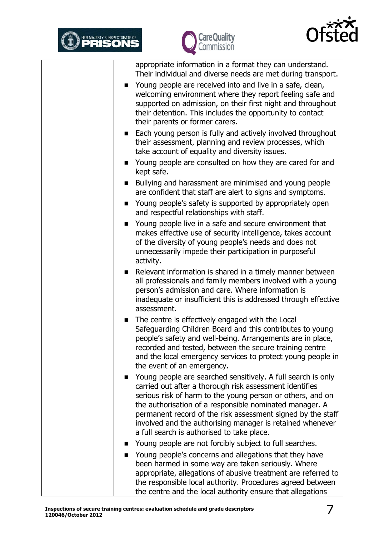





|              | appropriate information in a format they can understand.<br>Their individual and diverse needs are met during transport.                                                                                                                                                                                                                                                                                                   |
|--------------|----------------------------------------------------------------------------------------------------------------------------------------------------------------------------------------------------------------------------------------------------------------------------------------------------------------------------------------------------------------------------------------------------------------------------|
|              | Young people are received into and live in a safe, clean,<br>welcoming environment where they report feeling safe and<br>supported on admission, on their first night and throughout<br>their detention. This includes the opportunity to contact<br>their parents or former carers.                                                                                                                                       |
|              | Each young person is fully and actively involved throughout<br>their assessment, planning and review processes, which<br>take account of equality and diversity issues.                                                                                                                                                                                                                                                    |
|              | • Young people are consulted on how they are cared for and<br>kept safe.                                                                                                                                                                                                                                                                                                                                                   |
|              | Bullying and harassment are minimised and young people<br>are confident that staff are alert to signs and symptoms.                                                                                                                                                                                                                                                                                                        |
|              | Young people's safety is supported by appropriately open<br>and respectful relationships with staff.                                                                                                                                                                                                                                                                                                                       |
|              | Young people live in a safe and secure environment that<br>makes effective use of security intelligence, takes account<br>of the diversity of young people's needs and does not<br>unnecessarily impede their participation in purposeful<br>activity.                                                                                                                                                                     |
| $\mathbf{r}$ | Relevant information is shared in a timely manner between<br>all professionals and family members involved with a young<br>person's admission and care. Where information is<br>inadequate or insufficient this is addressed through effective<br>assessment.                                                                                                                                                              |
|              | The centre is effectively engaged with the Local<br>Safeguarding Children Board and this contributes to young<br>people's safety and well-being. Arrangements are in place,<br>recorded and tested, between the secure training centre<br>and the local emergency services to protect young people in<br>the event of an emergency.                                                                                        |
|              | Young people are searched sensitively. A full search is only<br>carried out after a thorough risk assessment identifies<br>serious risk of harm to the young person or others, and on<br>the authorisation of a responsible nominated manager. A<br>permanent record of the risk assessment signed by the staff<br>involved and the authorising manager is retained whenever<br>a full search is authorised to take place. |
|              | Young people are not forcibly subject to full searches.                                                                                                                                                                                                                                                                                                                                                                    |
|              | Young people's concerns and allegations that they have<br>been harmed in some way are taken seriously. Where<br>appropriate, allegations of abusive treatment are referred to<br>the responsible local authority. Procedures agreed between<br>the centre and the local authority ensure that allegations                                                                                                                  |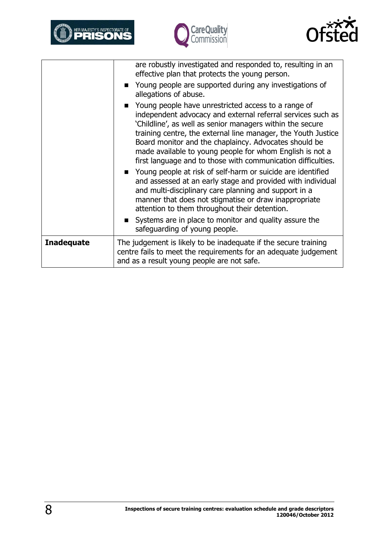





|                   | are robustly investigated and responded to, resulting in an<br>effective plan that protects the young person.                                                                                                                                                                                                                                                                                                                         |
|-------------------|---------------------------------------------------------------------------------------------------------------------------------------------------------------------------------------------------------------------------------------------------------------------------------------------------------------------------------------------------------------------------------------------------------------------------------------|
|                   | • Young people are supported during any investigations of<br>allegations of abuse.                                                                                                                                                                                                                                                                                                                                                    |
|                   | Young people have unrestricted access to a range of<br>independent advocacy and external referral services such as<br>'Childline', as well as senior managers within the secure<br>training centre, the external line manager, the Youth Justice<br>Board monitor and the chaplaincy. Advocates should be<br>made available to young people for whom English is not a<br>first language and to those with communication difficulties. |
|                   | Young people at risk of self-harm or suicide are identified<br>and assessed at an early stage and provided with individual<br>and multi-disciplinary care planning and support in a<br>manner that does not stigmatise or draw inappropriate<br>attention to them throughout their detention.                                                                                                                                         |
|                   | Systems are in place to monitor and quality assure the<br>safeguarding of young people.                                                                                                                                                                                                                                                                                                                                               |
| <b>Inadequate</b> | The judgement is likely to be inadequate if the secure training<br>centre fails to meet the requirements for an adequate judgement<br>and as a result young people are not safe.                                                                                                                                                                                                                                                      |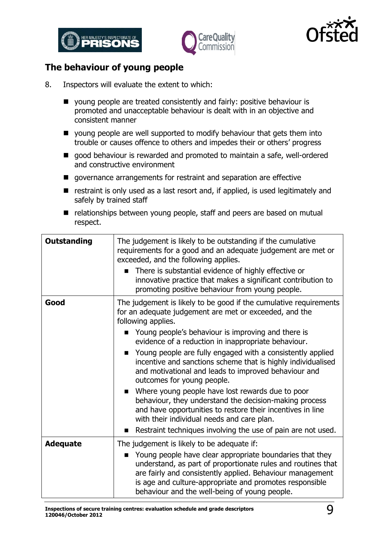





#### <span id="page-8-0"></span>**The behaviour of young people**

- 8. Inspectors will evaluate the extent to which:
	- young people are treated consistently and fairly: positive behaviour is promoted and unacceptable behaviour is dealt with in an objective and consistent manner
	- $\blacksquare$  young people are well supported to modify behaviour that gets them into trouble or causes offence to others and impedes their or others' progress
	- good behaviour is rewarded and promoted to maintain a safe, well-ordered and constructive environment
	- $\blacksquare$  governance arrangements for restraint and separation are effective
	- $\blacksquare$  restraint is only used as a last resort and, if applied, is used legitimately and safely by trained staff
	- relationships between young people, staff and peers are based on mutual respect.

| <b>Outstanding</b> | The judgement is likely to be outstanding if the cumulative<br>requirements for a good and an adequate judgement are met or<br>exceeded, and the following applies.<br>There is substantial evidence of highly effective or<br>innovative practice that makes a significant contribution to<br>promoting positive behaviour from young people.                                                                                                                                                                                                                                                                                                                                                               |
|--------------------|--------------------------------------------------------------------------------------------------------------------------------------------------------------------------------------------------------------------------------------------------------------------------------------------------------------------------------------------------------------------------------------------------------------------------------------------------------------------------------------------------------------------------------------------------------------------------------------------------------------------------------------------------------------------------------------------------------------|
| Good               | The judgement is likely to be good if the cumulative requirements<br>for an adequate judgement are met or exceeded, and the<br>following applies.<br>Young people's behaviour is improving and there is<br>evidence of a reduction in inappropriate behaviour.<br>Young people are fully engaged with a consistently applied<br>incentive and sanctions scheme that is highly individualised<br>and motivational and leads to improved behaviour and<br>outcomes for young people.<br>Where young people have lost rewards due to poor<br>behaviour, they understand the decision-making process<br>and have opportunities to restore their incentives in line<br>with their individual needs and care plan. |
| <b>Adequate</b>    | Restraint techniques involving the use of pain are not used.<br>The judgement is likely to be adequate if:                                                                                                                                                                                                                                                                                                                                                                                                                                                                                                                                                                                                   |
|                    | Young people have clear appropriate boundaries that they<br>understand, as part of proportionate rules and routines that<br>are fairly and consistently applied. Behaviour management<br>is age and culture-appropriate and promotes responsible<br>behaviour and the well-being of young people.                                                                                                                                                                                                                                                                                                                                                                                                            |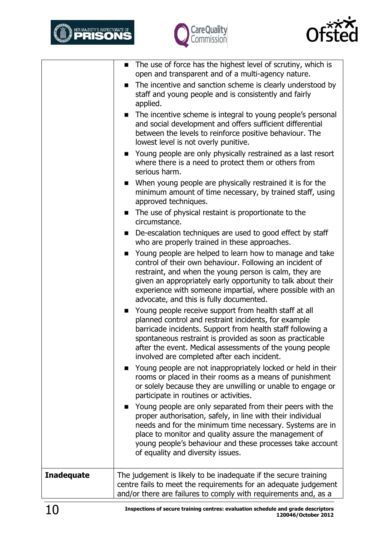





| The incentive and sanction scheme is clearly understood by<br>The incentive scheme is integral to young people's personal<br>Young people are only physically restrained as a last resort<br>• When young people are physically restrained it is for the<br>minimum amount of time necessary, by trained staff, using |
|-----------------------------------------------------------------------------------------------------------------------------------------------------------------------------------------------------------------------------------------------------------------------------------------------------------------------|
| • De-escalation techniques are used to good effect by staff                                                                                                                                                                                                                                                           |
|                                                                                                                                                                                                                                                                                                                       |
| Young people are helped to learn how to manage and take<br>given an appropriately early opportunity to talk about their<br>experience with someone impartial, where possible with an                                                                                                                                  |
| barricade incidents. Support from health staff following a<br>after the event. Medical assessments of the young people                                                                                                                                                                                                |
| Young people are not inappropriately locked or held in their<br>rooms or placed in their rooms as a means of punishment<br>or solely because they are unwilling or unable to engage or                                                                                                                                |
| Young people are only separated from their peers with the<br>needs and for the minimum time necessary. Systems are in<br>young people's behaviour and these processes take account                                                                                                                                    |
| The judgement is likely to be inadequate if the secure training<br>centre fails to meet the requirements for an adequate judgement<br>and/or there are failures to comply with requirements and, as a                                                                                                                 |
| and social development and offers sufficient differential<br>spontaneous restraint is provided as soon as practicable<br>place to monitor and quality assure the management of                                                                                                                                        |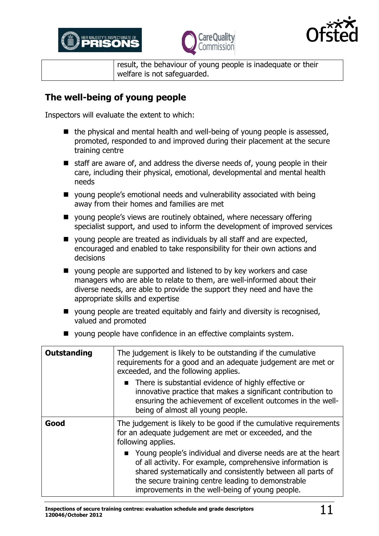





result, the behaviour of young people is inadequate or their welfare is not safeguarded.

#### <span id="page-10-0"></span>**The well-being of young people**

Inspectors will evaluate the extent to which:

- $\blacksquare$  the physical and mental health and well-being of young people is assessed, promoted, responded to and improved during their placement at the secure training centre
- $\blacksquare$  staff are aware of, and address the diverse needs of, young people in their care, including their physical, emotional, developmental and mental health needs
- young people's emotional needs and vulnerability associated with being away from their homes and families are met
- young people's views are routinely obtained, where necessary offering specialist support, and used to inform the development of improved services
- young people are treated as individuals by all staff and are expected, encouraged and enabled to take responsibility for their own actions and decisions
- young people are supported and listened to by key workers and case managers who are able to relate to them, are well-informed about their diverse needs, are able to provide the support they need and have the appropriate skills and expertise
- voung people are treated equitably and fairly and diversity is recognised, valued and promoted
- young people have confidence in an effective complaints system.

| Outstanding | The judgement is likely to be outstanding if the cumulative<br>requirements for a good and an adequate judgement are met or<br>exceeded, and the following applies.<br>There is substantial evidence of highly effective or<br>innovative practice that makes a significant contribution to<br>ensuring the achievement of excellent outcomes in the well-<br>being of almost all young people.                                                           |
|-------------|-----------------------------------------------------------------------------------------------------------------------------------------------------------------------------------------------------------------------------------------------------------------------------------------------------------------------------------------------------------------------------------------------------------------------------------------------------------|
| Good        | The judgement is likely to be good if the cumulative requirements<br>for an adequate judgement are met or exceeded, and the<br>following applies.<br>■ Young people's individual and diverse needs are at the heart<br>of all activity. For example, comprehensive information is<br>shared systematically and consistently between all parts of<br>the secure training centre leading to demonstrable<br>improvements in the well-being of young people. |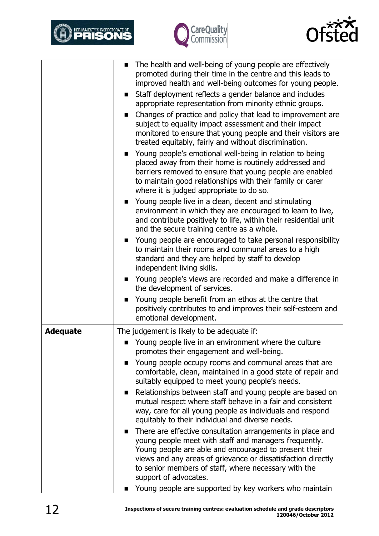





|                 | The health and well-being of young people are effectively<br>$\blacksquare$<br>promoted during their time in the centre and this leads to<br>improved health and well-being outcomes for young people.<br>Staff deployment reflects a gender balance and includes<br>appropriate representation from minority ethnic groups.<br>Changes of practice and policy that lead to improvement are<br>$\blacksquare$<br>subject to equality impact assessment and their impact<br>monitored to ensure that young people and their visitors are<br>treated equitably, fairly and without discrimination.<br>Young people's emotional well-being in relation to being<br>$\blacksquare$<br>placed away from their home is routinely addressed and<br>barriers removed to ensure that young people are enabled<br>to maintain good relationships with their family or carer<br>where it is judged appropriate to do so.<br>Young people live in a clean, decent and stimulating<br>$\mathbf{r}$<br>environment in which they are encouraged to learn to live,<br>and contribute positively to life, within their residential unit<br>and the secure training centre as a whole.<br>Young people are encouraged to take personal responsibility<br>$\blacksquare$ |
|-----------------|--------------------------------------------------------------------------------------------------------------------------------------------------------------------------------------------------------------------------------------------------------------------------------------------------------------------------------------------------------------------------------------------------------------------------------------------------------------------------------------------------------------------------------------------------------------------------------------------------------------------------------------------------------------------------------------------------------------------------------------------------------------------------------------------------------------------------------------------------------------------------------------------------------------------------------------------------------------------------------------------------------------------------------------------------------------------------------------------------------------------------------------------------------------------------------------------------------------------------------------------------------|
|                 | to maintain their rooms and communal areas to a high<br>standard and they are helped by staff to develop<br>independent living skills.                                                                                                                                                                                                                                                                                                                                                                                                                                                                                                                                                                                                                                                                                                                                                                                                                                                                                                                                                                                                                                                                                                                 |
|                 | • Young people's views are recorded and make a difference in<br>the development of services.                                                                                                                                                                                                                                                                                                                                                                                                                                                                                                                                                                                                                                                                                                                                                                                                                                                                                                                                                                                                                                                                                                                                                           |
|                 | Young people benefit from an ethos at the centre that<br>■<br>positively contributes to and improves their self-esteem and<br>emotional development.                                                                                                                                                                                                                                                                                                                                                                                                                                                                                                                                                                                                                                                                                                                                                                                                                                                                                                                                                                                                                                                                                                   |
| <b>Adequate</b> | The judgement is likely to be adequate if:                                                                                                                                                                                                                                                                                                                                                                                                                                                                                                                                                                                                                                                                                                                                                                                                                                                                                                                                                                                                                                                                                                                                                                                                             |
|                 | Young people live in an environment where the culture<br>promotes their engagement and well-being.                                                                                                                                                                                                                                                                                                                                                                                                                                                                                                                                                                                                                                                                                                                                                                                                                                                                                                                                                                                                                                                                                                                                                     |
|                 | Young people occupy rooms and communal areas that are<br>$\blacksquare$<br>comfortable, clean, maintained in a good state of repair and<br>suitably equipped to meet young people's needs.<br>Relationships between staff and young people are based on<br>mutual respect where staff behave in a fair and consistent<br>way, care for all young people as individuals and respond<br>equitably to their individual and diverse needs.                                                                                                                                                                                                                                                                                                                                                                                                                                                                                                                                                                                                                                                                                                                                                                                                                 |
|                 | There are effective consultation arrangements in place and<br>$\blacksquare$<br>young people meet with staff and managers frequently.<br>Young people are able and encouraged to present their<br>views and any areas of grievance or dissatisfaction directly<br>to senior members of staff, where necessary with the<br>support of advocates.<br>Young people are supported by key workers who maintain<br>■                                                                                                                                                                                                                                                                                                                                                                                                                                                                                                                                                                                                                                                                                                                                                                                                                                         |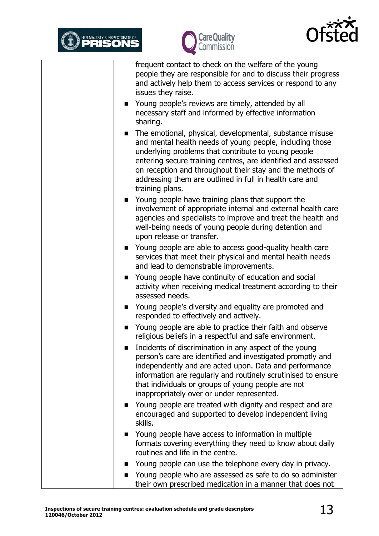





frequent contact to check on the welfare of the young people they are responsible for and to discuss their progress and actively help them to access services or respond to any issues they raise.

- Young people's reviews are timely, attended by all necessary staff and informed by effective information sharing.
- The emotional, physical, developmental, substance misuse and mental health needs of young people, including those underlying problems that contribute to young people entering secure training centres, are identified and assessed on reception and throughout their stay and the methods of addressing them are outlined in full in health care and training plans.
- Young people have training plans that support the involvement of appropriate internal and external health care agencies and specialists to improve and treat the health and well-being needs of young people during detention and upon release or transfer.
- Young people are able to access good-quality health care services that meet their physical and mental health needs and lead to demonstrable improvements.
- Young people have continuity of education and social activity when receiving medical treatment according to their assessed needs.
- Young people's diversity and equality are promoted and responded to effectively and actively.
- Young people are able to practice their faith and observe religious beliefs in a respectful and safe environment.
- $\blacksquare$  Incidents of discrimination in any aspect of the young person's care are identified and investigated promptly and independently and are acted upon. Data and performance information are regularly and routinely scrutinised to ensure that individuals or groups of young people are not inappropriately over or under represented.
- Young people are treated with dignity and respect and are encouraged and supported to develop independent living skills.
- Young people have access to information in multiple formats covering everything they need to know about daily routines and life in the centre.
- Young people can use the telephone every day in privacy.
- Young people who are assessed as safe to do so administer their own prescribed medication in a manner that does not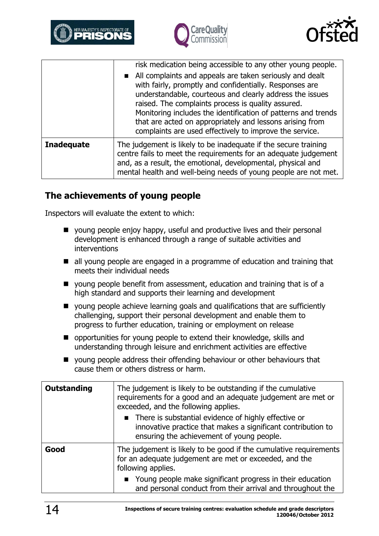





|                   | risk medication being accessible to any other young people.<br>All complaints and appeals are taken seriously and dealt<br>with fairly, promptly and confidentially. Responses are<br>understandable, courteous and clearly address the issues<br>raised. The complaints process is quality assured.<br>Monitoring includes the identification of patterns and trends<br>that are acted on appropriately and lessons arising from<br>complaints are used effectively to improve the service. |
|-------------------|----------------------------------------------------------------------------------------------------------------------------------------------------------------------------------------------------------------------------------------------------------------------------------------------------------------------------------------------------------------------------------------------------------------------------------------------------------------------------------------------|
| <b>Inadequate</b> | The judgement is likely to be inadequate if the secure training<br>centre fails to meet the requirements for an adequate judgement<br>and, as a result, the emotional, developmental, physical and<br>mental health and well-being needs of young people are not met.                                                                                                                                                                                                                        |

#### <span id="page-13-0"></span>**The achievements of young people**

Inspectors will evaluate the extent to which:

- young people enjoy happy, useful and productive lives and their personal development is enhanced through a range of suitable activities and interventions
- all young people are engaged in a programme of education and training that meets their individual needs
- young people benefit from assessment, education and training that is of a high standard and supports their learning and development
- $\blacksquare$  young people achieve learning goals and qualifications that are sufficiently challenging, support their personal development and enable them to progress to further education, training or employment on release
- $\blacksquare$  opportunities for young people to extend their knowledge, skills and understanding through leisure and enrichment activities are effective
- young people address their offending behaviour or other behaviours that cause them or others distress or harm.

| <b>Outstanding</b> | The judgement is likely to be outstanding if the cumulative<br>requirements for a good and an adequate judgement are met or<br>exceeded, and the following applies. |
|--------------------|---------------------------------------------------------------------------------------------------------------------------------------------------------------------|
|                    | • There is substantial evidence of highly effective or<br>innovative practice that makes a significant contribution to<br>ensuring the achievement of young people. |
| Good               | The judgement is likely to be good if the cumulative requirements<br>for an adequate judgement are met or exceeded, and the<br>following applies.                   |
|                    | Young people make significant progress in their education<br>and personal conduct from their arrival and throughout the                                             |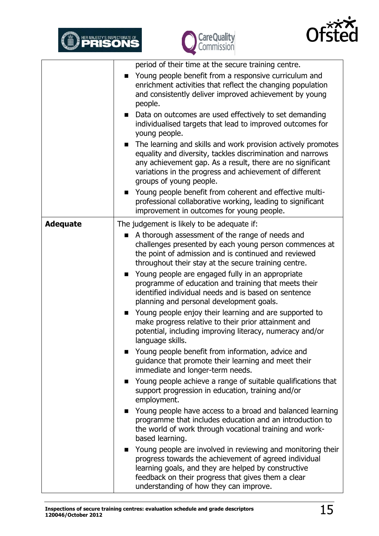





|                 | period of their time at the secure training centre.                                                                                                                                                                                                                            |
|-----------------|--------------------------------------------------------------------------------------------------------------------------------------------------------------------------------------------------------------------------------------------------------------------------------|
|                 | Young people benefit from a responsive curriculum and<br>enrichment activities that reflect the changing population<br>and consistently deliver improved achievement by young<br>people.                                                                                       |
|                 | • Data on outcomes are used effectively to set demanding<br>individualised targets that lead to improved outcomes for<br>young people.                                                                                                                                         |
|                 | The learning and skills and work provision actively promotes<br>equality and diversity, tackles discrimination and narrows<br>any achievement gap. As a result, there are no significant<br>variations in the progress and achievement of different<br>groups of young people. |
|                 | Young people benefit from coherent and effective multi-<br>$\blacksquare$<br>professional collaborative working, leading to significant<br>improvement in outcomes for young people.                                                                                           |
| <b>Adequate</b> | The judgement is likely to be adequate if:                                                                                                                                                                                                                                     |
|                 | A thorough assessment of the range of needs and<br>■<br>challenges presented by each young person commences at<br>the point of admission and is continued and reviewed<br>throughout their stay at the secure training centre.                                                 |
|                 | Young people are engaged fully in an appropriate<br>programme of education and training that meets their<br>identified individual needs and is based on sentence<br>planning and personal development goals.                                                                   |
|                 | Young people enjoy their learning and are supported to<br>$\blacksquare$<br>make progress relative to their prior attainment and<br>potential, including improving literacy, numeracy and/or<br>language skills.                                                               |
|                 | Young people benefit from information, advice and<br>guidance that promote their learning and meet their<br>immediate and longer-term needs.                                                                                                                                   |
|                 | • Young people achieve a range of suitable qualifications that<br>support progression in education, training and/or<br>employment.                                                                                                                                             |
|                 | Young people have access to a broad and balanced learning<br>programme that includes education and an introduction to<br>the world of work through vocational training and work-<br>based learning.                                                                            |
|                 | Young people are involved in reviewing and monitoring their<br>progress towards the achievement of agreed individual<br>learning goals, and they are helped by constructive<br>feedback on their progress that gives them a clear<br>understanding of how they can improve.    |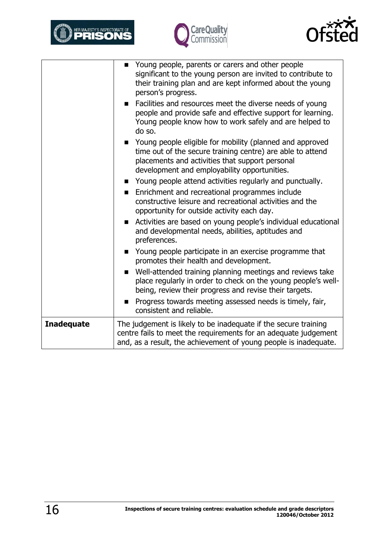





|                   | Young people, parents or carers and other people<br>$\blacksquare$<br>significant to the young person are invited to contribute to<br>their training plan and are kept informed about the young<br>person's progress.<br>Facilities and resources meet the diverse needs of young |
|-------------------|-----------------------------------------------------------------------------------------------------------------------------------------------------------------------------------------------------------------------------------------------------------------------------------|
|                   | people and provide safe and effective support for learning.<br>Young people know how to work safely and are helped to<br>do so.                                                                                                                                                   |
|                   | Young people eligible for mobility (planned and approved<br>time out of the secure training centre) are able to attend<br>placements and activities that support personal<br>development and employability opportunities.                                                         |
|                   | Young people attend activities regularly and punctually.                                                                                                                                                                                                                          |
|                   | Enrichment and recreational programmes include<br>$\blacksquare$<br>constructive leisure and recreational activities and the<br>opportunity for outside activity each day.                                                                                                        |
|                   | Activities are based on young people's individual educational<br>and developmental needs, abilities, aptitudes and<br>preferences.                                                                                                                                                |
|                   | Young people participate in an exercise programme that<br>promotes their health and development.                                                                                                                                                                                  |
|                   | Well-attended training planning meetings and reviews take<br>place regularly in order to check on the young people's well-<br>being, review their progress and revise their targets.                                                                                              |
|                   | Progress towards meeting assessed needs is timely, fair,<br>consistent and reliable.                                                                                                                                                                                              |
| <b>Inadequate</b> | The judgement is likely to be inadequate if the secure training<br>centre fails to meet the requirements for an adequate judgement<br>and, as a result, the achievement of young people is inadequate.                                                                            |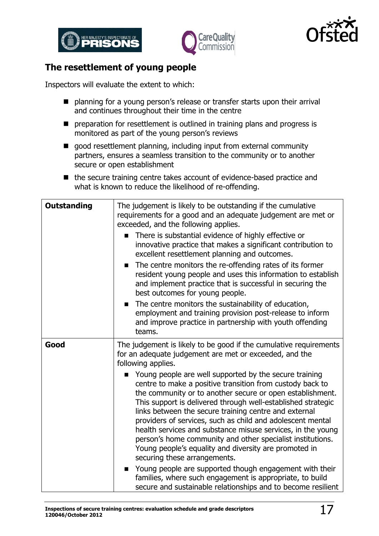





#### <span id="page-16-0"></span>**The resettlement of young people**

Inspectors will evaluate the extent to which:

- planning for a young person's release or transfer starts upon their arrival and continues throughout their time in the centre
- **P** preparation for resettlement is outlined in training plans and progress is monitored as part of the young person's reviews
- good resettlement planning, including input from external community partners, ensures a seamless transition to the community or to another secure or open establishment
- the secure training centre takes account of evidence-based practice and what is known to reduce the likelihood of re-offending.

| <b>Outstanding</b> | The judgement is likely to be outstanding if the cumulative<br>requirements for a good and an adequate judgement are met or<br>exceeded, and the following applies.<br>There is substantial evidence of highly effective or<br>innovative practice that makes a significant contribution to<br>excellent resettlement planning and outcomes.<br>The centre monitors the re-offending rates of its former<br>п<br>resident young people and uses this information to establish<br>and implement practice that is successful in securing the<br>best outcomes for young people.<br>The centre monitors the sustainability of education,<br>$\blacksquare$<br>employment and training provision post-release to inform<br>and improve practice in partnership with youth offending<br>teams.                                                                                                                                                                   |
|--------------------|-------------------------------------------------------------------------------------------------------------------------------------------------------------------------------------------------------------------------------------------------------------------------------------------------------------------------------------------------------------------------------------------------------------------------------------------------------------------------------------------------------------------------------------------------------------------------------------------------------------------------------------------------------------------------------------------------------------------------------------------------------------------------------------------------------------------------------------------------------------------------------------------------------------------------------------------------------------|
| Good               | The judgement is likely to be good if the cumulative requirements<br>for an adequate judgement are met or exceeded, and the<br>following applies.<br>Young people are well supported by the secure training<br>centre to make a positive transition from custody back to<br>the community or to another secure or open establishment.<br>This support is delivered through well-established strategic<br>links between the secure training centre and external<br>providers of services, such as child and adolescent mental<br>health services and substance misuse services, in the young<br>person's home community and other specialist institutions.<br>Young people's equality and diversity are promoted in<br>securing these arrangements.<br>Young people are supported though engagement with their<br>$\blacksquare$<br>families, where such engagement is appropriate, to build<br>secure and sustainable relationships and to become resilient |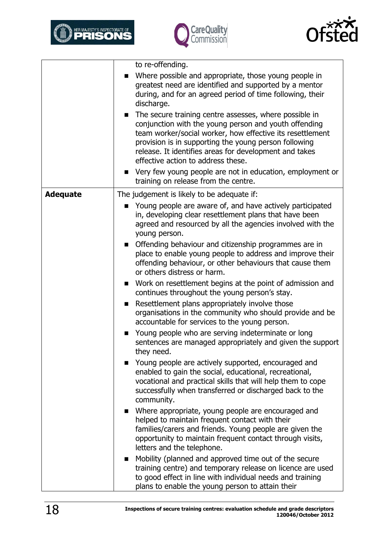





|                 | to re-offending.<br>Where possible and appropriate, those young people in<br>٠<br>greatest need are identified and supported by a mentor<br>during, and for an agreed period of time following, their<br>discharge.<br>The secure training centre assesses, where possible in<br>$\blacksquare$<br>conjunction with the young person and youth offending<br>team worker/social worker, how effective its resettlement<br>provision is in supporting the young person following<br>release. It identifies areas for development and takes<br>effective action to address these.                                                                                                                                                                                                                                                                                                                                                                                                                                                                                                                                                                                                                                                                                                                                                                                                                                                                                                                                                                                                                                                                                                               |
|-----------------|----------------------------------------------------------------------------------------------------------------------------------------------------------------------------------------------------------------------------------------------------------------------------------------------------------------------------------------------------------------------------------------------------------------------------------------------------------------------------------------------------------------------------------------------------------------------------------------------------------------------------------------------------------------------------------------------------------------------------------------------------------------------------------------------------------------------------------------------------------------------------------------------------------------------------------------------------------------------------------------------------------------------------------------------------------------------------------------------------------------------------------------------------------------------------------------------------------------------------------------------------------------------------------------------------------------------------------------------------------------------------------------------------------------------------------------------------------------------------------------------------------------------------------------------------------------------------------------------------------------------------------------------------------------------------------------------|
|                 | • Very few young people are not in education, employment or<br>training on release from the centre.                                                                                                                                                                                                                                                                                                                                                                                                                                                                                                                                                                                                                                                                                                                                                                                                                                                                                                                                                                                                                                                                                                                                                                                                                                                                                                                                                                                                                                                                                                                                                                                          |
| <b>Adequate</b> | The judgement is likely to be adequate if:<br>Young people are aware of, and have actively participated<br>in, developing clear resettlement plans that have been<br>agreed and resourced by all the agencies involved with the<br>young person.<br>• Offending behaviour and citizenship programmes are in<br>place to enable young people to address and improve their<br>offending behaviour, or other behaviours that cause them<br>or others distress or harm.<br>■ Work on resettlement begins at the point of admission and<br>continues throughout the young person's stay.<br>Resettlement plans appropriately involve those<br>п<br>organisations in the community who should provide and be<br>accountable for services to the young person.<br>Young people who are serving indeterminate or long<br>$\blacksquare$<br>sentences are managed appropriately and given the support<br>they need.<br>Young people are actively supported, encouraged and<br>enabled to gain the social, educational, recreational,<br>vocational and practical skills that will help them to cope<br>successfully when transferred or discharged back to the<br>community.<br>• Where appropriate, young people are encouraged and<br>helped to maintain frequent contact with their<br>families/carers and friends. Young people are given the<br>opportunity to maintain frequent contact through visits,<br>letters and the telephone.<br>Mobility (planned and approved time out of the secure<br>$\blacksquare$<br>training centre) and temporary release on licence are used<br>to good effect in line with individual needs and training<br>plans to enable the young person to attain their |